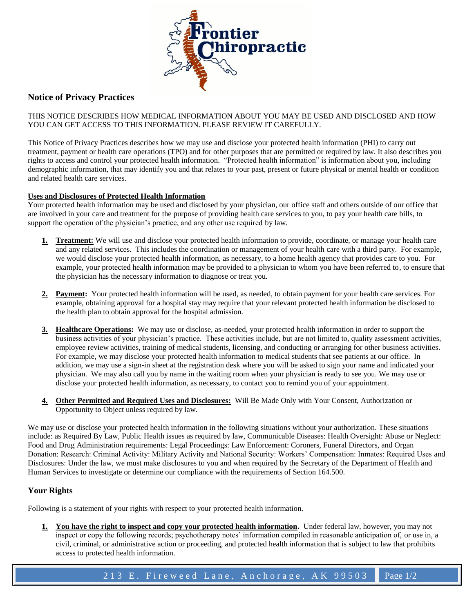

## **Notice of Privacy Practices**

THIS NOTICE DESCRIBES HOW MEDICAL INFORMATION ABOUT YOU MAY BE USED AND DISCLOSED AND HOW YOU CAN GET ACCESS TO THIS INFORMATION. PLEASE REVIEW IT CAREFULLY.

This Notice of Privacy Practices describes how we may use and disclose your protected health information (PHI) to carry out treatment, payment or health care operations (TPO) and for other purposes that are permitted or required by law. It also describes you rights to access and control your protected health information. "Protected health information" is information about you, including demographic information, that may identify you and that relates to your past, present or future physical or mental health or condition and related health care services.

## **Uses and Disclosures of Protected Health Information**

Your protected health information may be used and disclosed by your physician, our office staff and others outside of our office that are involved in your care and treatment for the purpose of providing health care services to you, to pay your health care bills, to support the operation of the physician's practice, and any other use required by law.

- **1. Treatment:** We will use and disclose your protected health information to provide, coordinate, or manage your health care and any related services. This includes the coordination or management of your health care with a third party. For example, we would disclose your protected health information, as necessary, to a home health agency that provides care to you. For example, your protected health information may be provided to a physician to whom you have been referred to, to ensure that the physician has the necessary information to diagnose or treat you.
- **2. Payment:** Your protected health information will be used, as needed, to obtain payment for your health care services. For example, obtaining approval for a hospital stay may require that your relevant protected health information be disclosed to the health plan to obtain approval for the hospital admission.
- **3. Healthcare Operations:** We may use or disclose, as-needed, your protected health information in order to support the business activities of your physician's practice. These activities include, but are not limited to, quality assessment activities, employee review activities, training of medical students, licensing, and conducting or arranging for other business activities. For example, we may disclose your protected health information to medical students that see patients at our office. In addition, we may use a sign-in sheet at the registration desk where you will be asked to sign your name and indicated your physician. We may also call you by name in the waiting room when your physician is ready to see you. We may use or disclose your protected health information, as necessary, to contact you to remind you of your appointment.
- **4. Other Permitted and Required Uses and Disclosures:** Will Be Made Only with Your Consent, Authorization or Opportunity to Object unless required by law.

We may use or disclose your protected health information in the following situations without your authorization. These situations include: as Required By Law, Public Health issues as required by law, Communicable Diseases: Health Oversight: Abuse or Neglect: Food and Drug Administration requirements: Legal Proceedings: Law Enforcement: Coroners, Funeral Directors, and Organ Donation: Research: Criminal Activity: Military Activity and National Security: Workers' Compensation: Inmates: Required Uses and Disclosures: Under the law, we must make disclosures to you and when required by the Secretary of the Department of Health and Human Services to investigate or determine our compliance with the requirements of Section 164.500.

## **Your Rights**

Following is a statement of your rights with respect to your protected health information.

**1. You have the right to inspect and copy your protected health information.** Under federal law, however, you may not inspect or copy the following records; psychotherapy notes' information compiled in reasonable anticipation of, or use in, a civil, criminal, or administrative action or proceeding, and protected health information that is subject to law that prohibits access to protected health information.